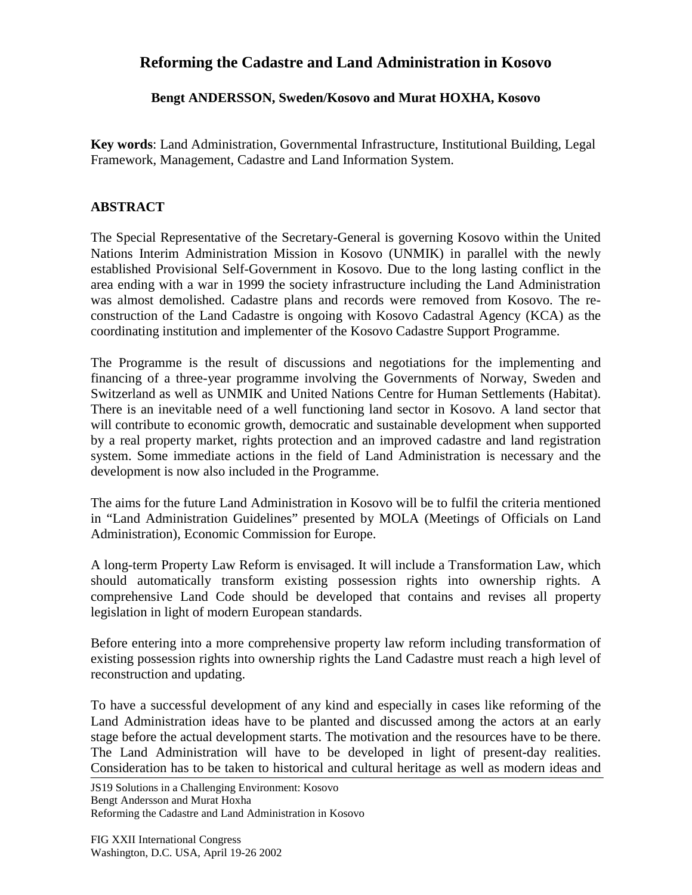## **Reforming the Cadastre and Land Administration in Kosovo**

## **Bengt ANDERSSON, Sweden/Kosovo and Murat HOXHA, Kosovo**

**Key words**: Land Administration, Governmental Infrastructure, Institutional Building, Legal Framework, Management, Cadastre and Land Information System.

## **ABSTRACT**

The Special Representative of the Secretary-General is governing Kosovo within the United Nations Interim Administration Mission in Kosovo (UNMIK) in parallel with the newly established Provisional Self-Government in Kosovo. Due to the long lasting conflict in the area ending with a war in 1999 the society infrastructure including the Land Administration was almost demolished. Cadastre plans and records were removed from Kosovo. The reconstruction of the Land Cadastre is ongoing with Kosovo Cadastral Agency (KCA) as the coordinating institution and implementer of the Kosovo Cadastre Support Programme.

The Programme is the result of discussions and negotiations for the implementing and financing of a three-year programme involving the Governments of Norway, Sweden and Switzerland as well as UNMIK and United Nations Centre for Human Settlements (Habitat). There is an inevitable need of a well functioning land sector in Kosovo. A land sector that will contribute to economic growth, democratic and sustainable development when supported by a real property market, rights protection and an improved cadastre and land registration system. Some immediate actions in the field of Land Administration is necessary and the development is now also included in the Programme.

The aims for the future Land Administration in Kosovo will be to fulfil the criteria mentioned in "Land Administration Guidelines" presented by MOLA (Meetings of Officials on Land Administration), Economic Commission for Europe.

A long-term Property Law Reform is envisaged. It will include a Transformation Law, which should automatically transform existing possession rights into ownership rights. A comprehensive Land Code should be developed that contains and revises all property legislation in light of modern European standards.

Before entering into a more comprehensive property law reform including transformation of existing possession rights into ownership rights the Land Cadastre must reach a high level of reconstruction and updating.

To have a successful development of any kind and especially in cases like reforming of the Land Administration ideas have to be planted and discussed among the actors at an early stage before the actual development starts. The motivation and the resources have to be there. The Land Administration will have to be developed in light of present-day realities. Consideration has to be taken to historical and cultural heritage as well as modern ideas and

JS19 Solutions in a Challenging Environment: Kosovo Bengt Andersson and Murat Hoxha Reforming the Cadastre and Land Administration in Kosovo